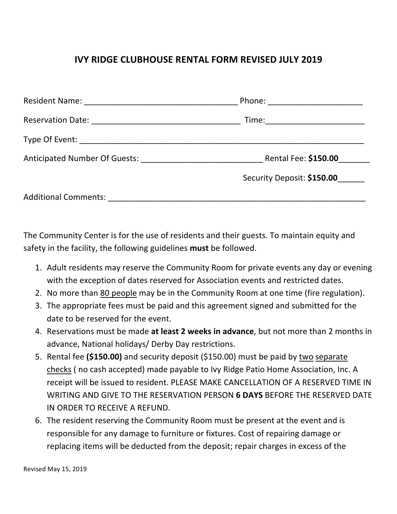## **IVY RIDGE CLUBHOUSE RENTAL FORM REVISED JULY 2019**

|                                                                      | Phone: _________________________ |
|----------------------------------------------------------------------|----------------------------------|
|                                                                      | Time: ________________________   |
|                                                                      |                                  |
| Anticipated Number Of Guests: National Anticipated Number Of Guests: | Rental Fee: \$150.00             |
|                                                                      | Security Deposit: \$150.00       |
| Additional Comments: Additional Comments:                            |                                  |

The Community Center is for the use of residents and their guests. To maintain equity and safety in the facility, the following guidelines **must** be followed.

- 1. Adult residents may reserve the Community Room for private events any day or evening with the exception of dates reserved for Association events and restricted dates.
- 2. No more than 80 people may be in the Community Room at one time (fire regulation).
- 3. The appropriate fees must be paid and this agreement signed and submitted for the date to be reserved for the event.
- 4. Reservations must be made at least 2 weeks in advance, but not more than 2 months in advance, National holidays/ Derby Day restrictions.
- 5. Rental fee (\$150.00) and security deposit (\$150.00) must be paid by two separate checks (no cash accepted) made payable to Ivy Ridge Patio Home Association, Inc. A receipt will be issued to resident. PLEASE MAKE CANCELLATION OF A RESERVED TIME IN WRITING AND GIVE TO THE RESERVATION PERSON 6 DAYS BEFORE THE RESERVED DATE IN ORDER TO RECEIVE A REFUND.
- 6. The resident reserving the Community Room must be present at the event and is responsible for any damage to furniture or fixtures. Cost of repairing damage or replacing items will be deducted from the deposit; repair charges in excess of the